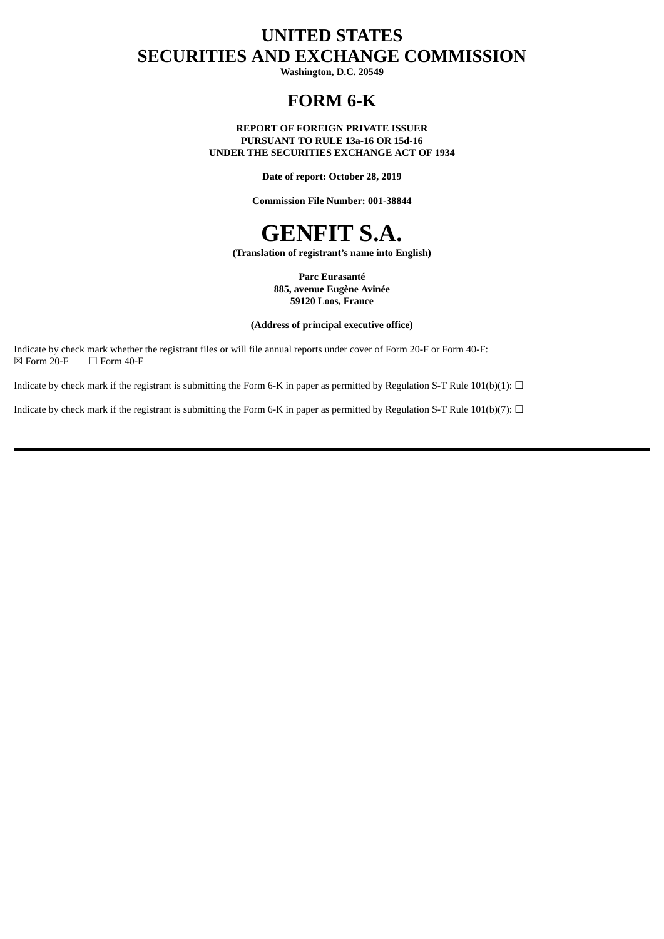# **UNITED STATES SECURITIES AND EXCHANGE COMMISSION**

**Washington, D.C. 20549**

# **FORM 6-K**

#### **REPORT OF FOREIGN PRIVATE ISSUER PURSUANT TO RULE 13a-16 OR 15d-16 UNDER THE SECURITIES EXCHANGE ACT OF 1934**

**Date of report: October 28, 2019**

**Commission File Number: 001-38844**

# **GENFIT S.A.**

**(Translation of registrant's name into English)**

**Parc Eurasanté 885, avenue Eugène Avinée 59120 Loos, France**

#### **(Address of principal executive office)**

Indicate by check mark whether the registrant files or will file annual reports under cover of Form 20-F or Form 40-F:<br> $\boxtimes$  Form 20-F  $\Box$  Form 40-F  $\Box$  Form 40-F

Indicate by check mark if the registrant is submitting the Form 6-K in paper as permitted by Regulation S-T Rule 101(b)(1):  $\Box$ 

Indicate by check mark if the registrant is submitting the Form 6-K in paper as permitted by Regulation S-T Rule 101(b)(7):  $\Box$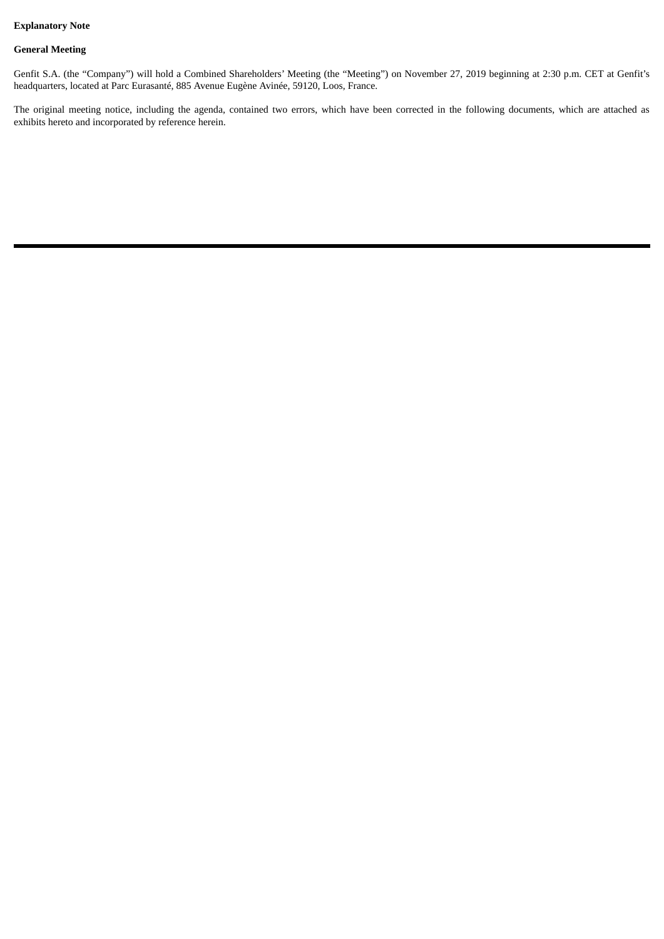### **Explanatory Note**

#### **General Meeting**

Genfit S.A. (the "Company") will hold a Combined Shareholders' Meeting (the "Meeting") on November 27, 2019 beginning at 2:30 p.m. CET at Genfit's headquarters, located at Parc Eurasanté, 885 Avenue Eugène Avinée, 59120, Loos, France.

The original meeting notice, including the agenda, contained two errors, which have been corrected in the following documents, which are attached as exhibits hereto and incorporated by reference herein.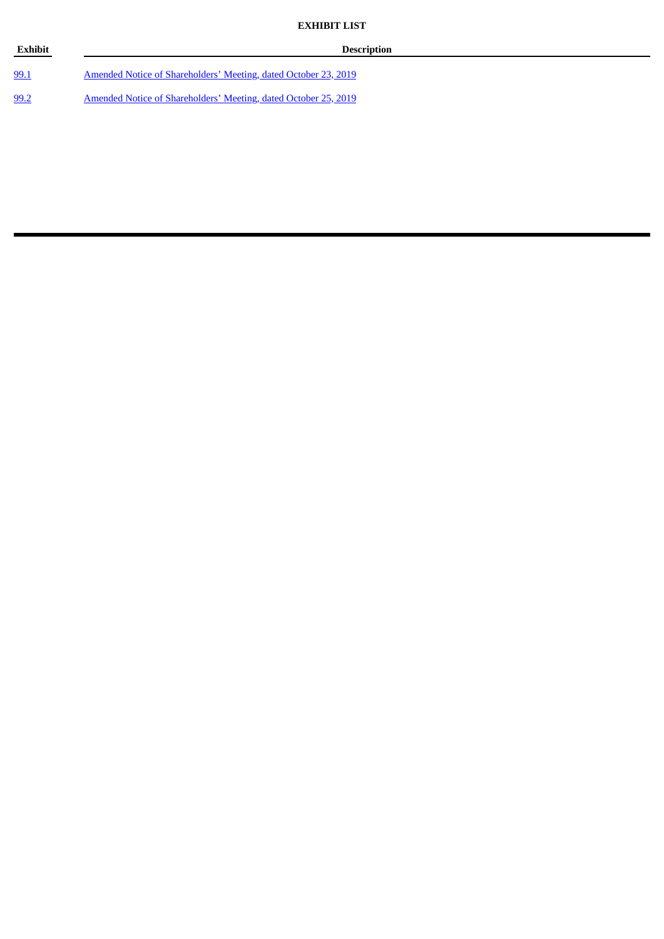| <b>Exhibit</b> | <b>Description</b>                                                     |
|----------------|------------------------------------------------------------------------|
| 99.1           | Amended Notice of Shareholders' Meeting, dated October 23, 2019        |
| 99.2           | <u>Amended Notice of Shareholders' Meeting, dated October 25, 2019</u> |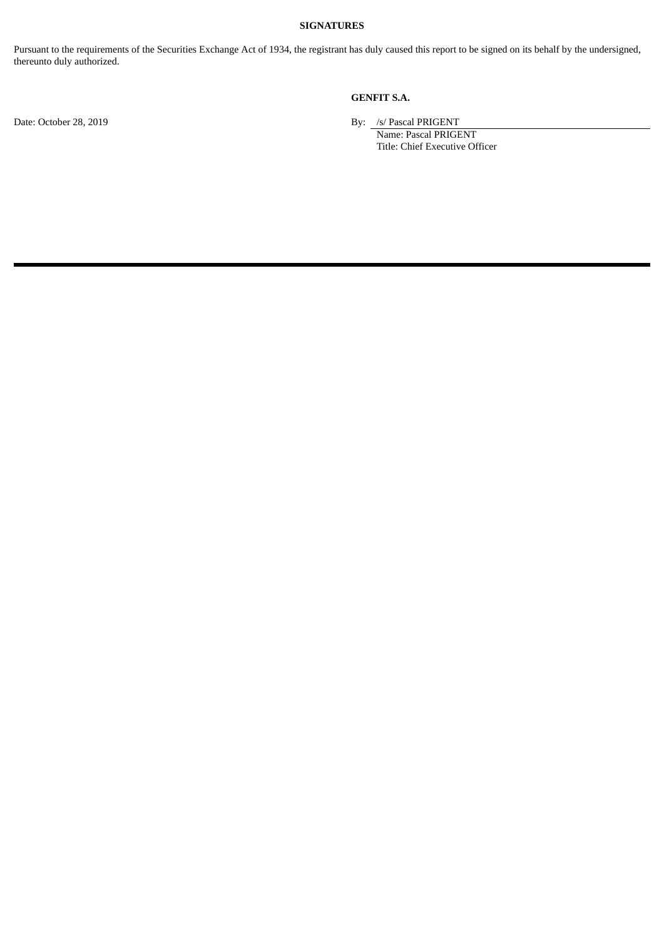#### **SIGNATURES**

Pursuant to the requirements of the Securities Exchange Act of 1934, the registrant has duly caused this report to be signed on its behalf by the undersigned, thereunto duly authorized.

## **GENFIT S.A.**

Date: October 28, 2019 By: /s/ Pascal PRIGENT

Name: Pascal PRIGENT Title: Chief Executive Officer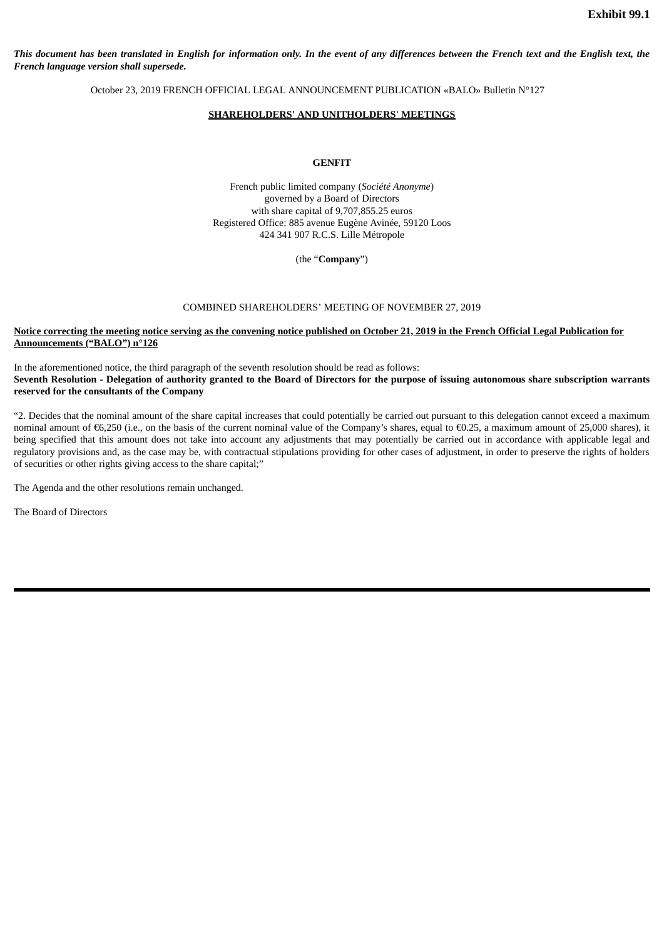This document has been translated in English for information only. In the event of any differences between the French text and the English text, the *French language version shall supersede.*

October 23, 2019 FRENCH OFFICIAL LEGAL ANNOUNCEMENT PUBLICATION «BALO» Bulletin N°127

#### **SHAREHOLDERS' AND UNITHOLDERS' MEETINGS**

#### **GENFIT**

French public limited company (*Société Anonyme*) governed by a Board of Directors with share capital of 9,707,855.25 euros Registered Office: 885 avenue Eugène Avinée, 59120 Loos 424 341 907 R.C.S. Lille Métropole

(the "**Company**")

#### COMBINED SHAREHOLDERS' MEETING OF NOVEMBER 27, 2019

#### Notice correcting the meeting notice serving as the convening notice published on October 21, 2019 in the French Official Legal Publication for **Announcements ("BALO") n°126**

In the aforementioned notice, the third paragraph of the seventh resolution should be read as follows: Seventh Resolution - Delegation of authority granted to the Board of Directors for the purpose of issuing autonomous share subscription warrants **reserved for the consultants of the Company**

"2. Decides that the nominal amount of the share capital increases that could potentially be carried out pursuant to this delegation cannot exceed a maximum nominal amount of €6,250 (i.e., on the basis of the current nominal value of the Company's shares, equal to €0.25, a maximum amount of 25,000 shares), it being specified that this amount does not take into account any adjustments that may potentially be carried out in accordance with applicable legal and regulatory provisions and, as the case may be, with contractual stipulations providing for other cases of adjustment, in order to preserve the rights of holders of securities or other rights giving access to the share capital;"

The Agenda and the other resolutions remain unchanged.

The Board of Directors